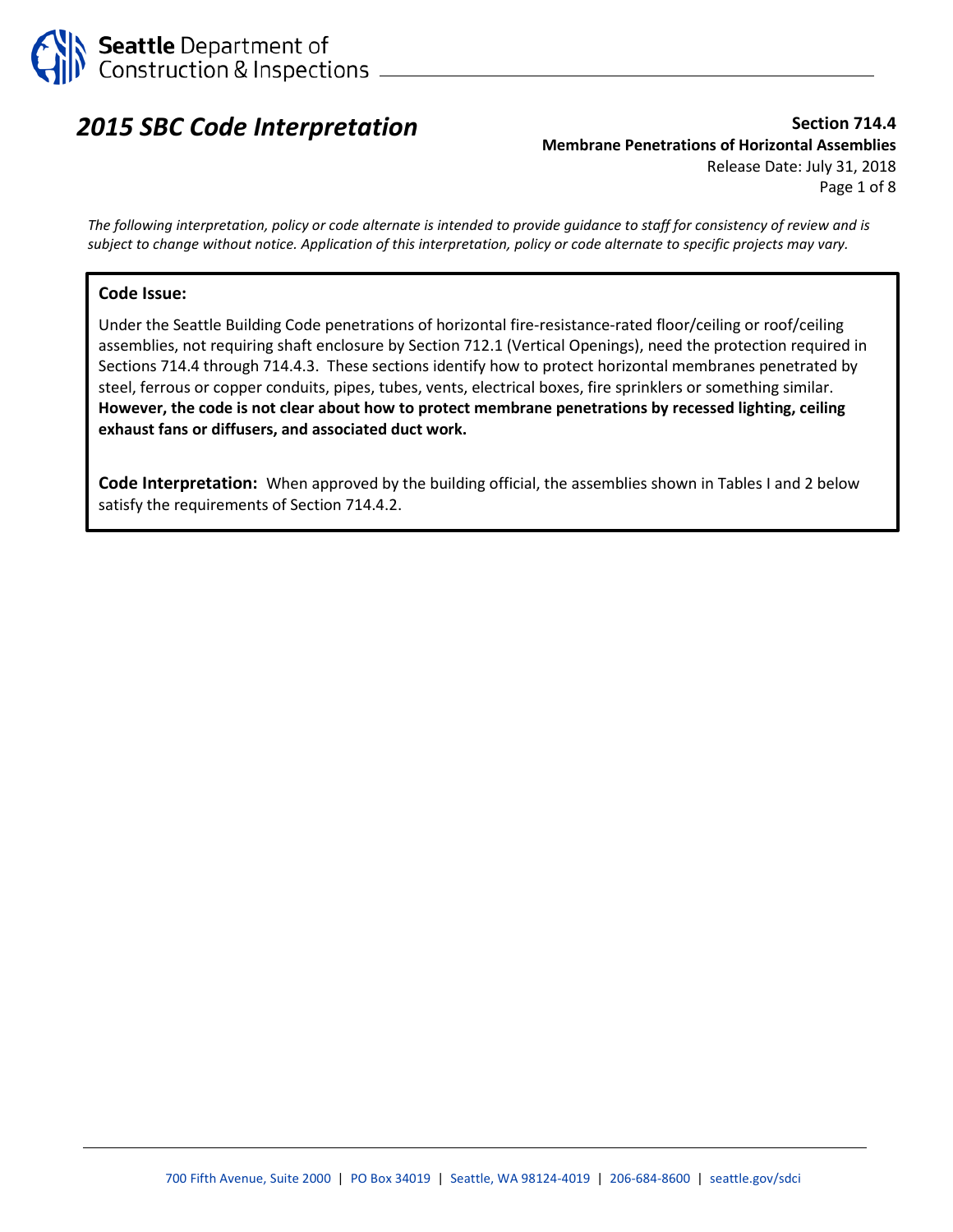

# *2015 SBC Code Interpretation*

# **Section 714.4 Membrane Penetrations of Horizontal Assemblies** Release Date: July 31, 2018 Page 1 of 8

*The following interpretation, policy or code alternate is intended to provide guidance to staff for consistency of review and is subject to change without notice. Application of this interpretation, policy or code alternate to specific projects may vary.*

#### **Code Issue:**

Under the Seattle Building Code penetrations of horizontal fire-resistance-rated floor/ceiling or roof/ceiling assemblies, not requiring shaft enclosure by Section 712.1 (Vertical Openings), need the protection required in Sections 714.4 through 714.4.3. These sections identify how to protect horizontal membranes penetrated by steel, ferrous or copper conduits, pipes, tubes, vents, electrical boxes, fire sprinklers or something similar. **However, the code is not clear about how to protect membrane penetrations by recessed lighting, ceiling exhaust fans or diffusers, and associated duct work.**

**Code Interpretation:** When approved by the building official, the assemblies shown in Tables I and 2 below satisfy the requirements of Section 714.4.2.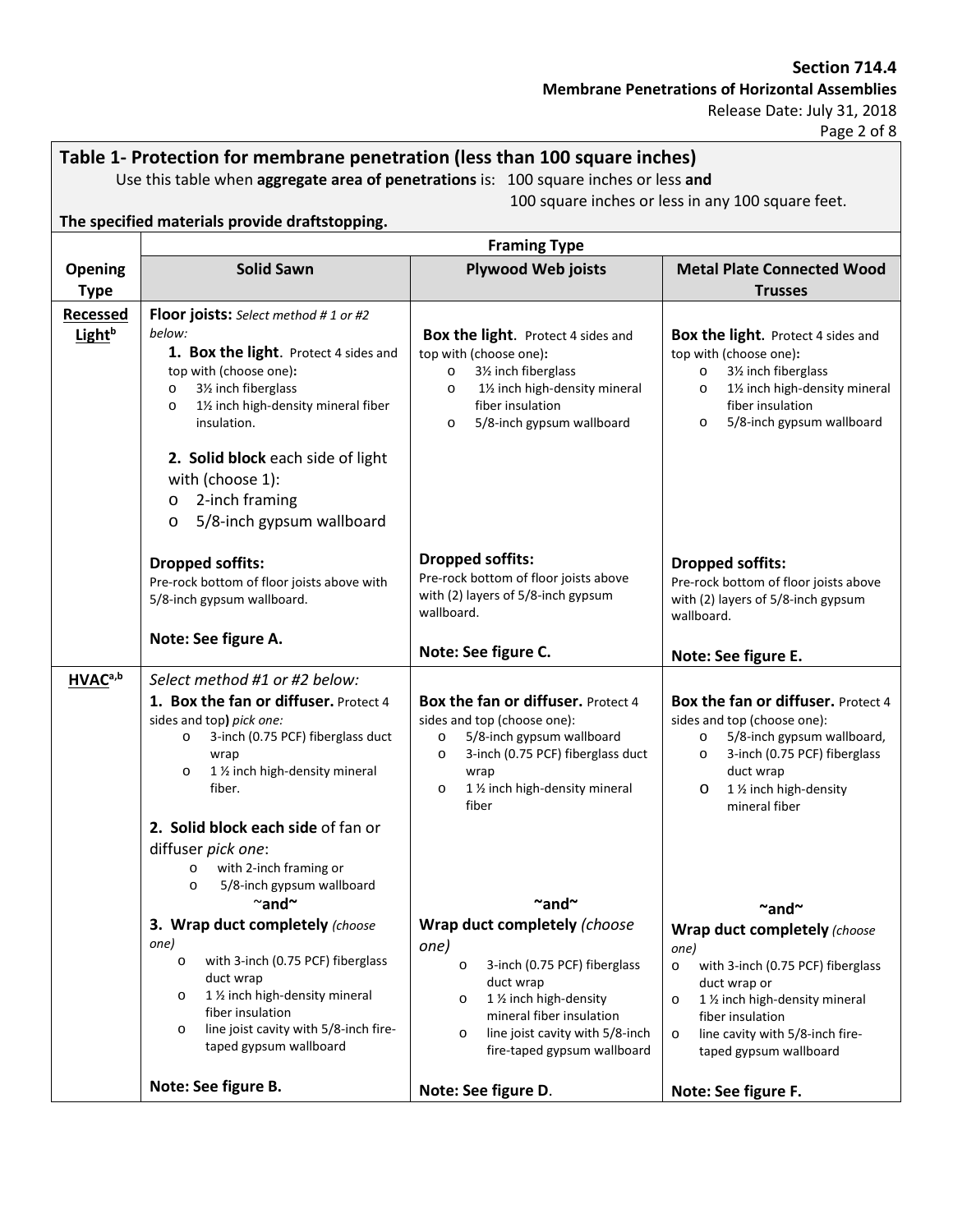#### **Section 714.4**

**Membrane Penetrations of Horizontal Assemblies**

Release Date: July 31, 2018

Page 2 of 8

# **Table 1- Protection for membrane penetration (less than 100 square inches)**

Use this table when **aggregate area of penetrations** is: 100 square inches or less **and**

100 square inches or less in any 100 square feet.

|                                       | <b>Framing Type</b>                                                                                                                                                                                                                                                                                                                                                                                                |                                                                                                                                                                                                                                                                  |                                                                                                                                                                                                                                                                            |
|---------------------------------------|--------------------------------------------------------------------------------------------------------------------------------------------------------------------------------------------------------------------------------------------------------------------------------------------------------------------------------------------------------------------------------------------------------------------|------------------------------------------------------------------------------------------------------------------------------------------------------------------------------------------------------------------------------------------------------------------|----------------------------------------------------------------------------------------------------------------------------------------------------------------------------------------------------------------------------------------------------------------------------|
| <b>Opening</b>                        | <b>Solid Sawn</b>                                                                                                                                                                                                                                                                                                                                                                                                  | <b>Plywood Web joists</b>                                                                                                                                                                                                                                        | <b>Metal Plate Connected Wood</b>                                                                                                                                                                                                                                          |
| <b>Type</b>                           |                                                                                                                                                                                                                                                                                                                                                                                                                    |                                                                                                                                                                                                                                                                  | <b>Trusses</b>                                                                                                                                                                                                                                                             |
| <b>Recessed</b><br>Light <sup>b</sup> | <b>Floor joists:</b> Select method # 1 or #2<br>below:<br>1. Box the light. Protect 4 sides and<br>top with (choose one):<br>31/ <sub>2</sub> inch fiberglass<br>$\circ$<br>11/2 inch high-density mineral fiber<br>$\circ$<br>insulation.<br>2. Solid block each side of light<br>with (choose 1):<br>2-inch framing<br>$\circ$<br>5/8-inch gypsum wallboard<br>O                                                 | Box the light. Protect 4 sides and<br>top with (choose one):<br>31/ <sub>2</sub> inch fiberglass<br>$\circ$<br>11/2 inch high-density mineral<br>$\circ$<br>fiber insulation<br>5/8-inch gypsum wallboard<br>$\circ$                                             | Box the light. Protect 4 sides and<br>top with (choose one):<br>31/ <sub>2</sub> inch fiberglass<br>$\circ$<br>11/2 inch high-density mineral<br>$\circ$<br>fiber insulation<br>5/8-inch gypsum wallboard<br>$\circ$                                                       |
|                                       | <b>Dropped soffits:</b><br>Pre-rock bottom of floor joists above with<br>5/8-inch gypsum wallboard.                                                                                                                                                                                                                                                                                                                | <b>Dropped soffits:</b><br>Pre-rock bottom of floor joists above<br>with (2) layers of 5/8-inch gypsum<br>wallboard.                                                                                                                                             | <b>Dropped soffits:</b><br>Pre-rock bottom of floor joists above<br>with (2) layers of 5/8-inch gypsum<br>wallboard.                                                                                                                                                       |
|                                       | Note: See figure A.                                                                                                                                                                                                                                                                                                                                                                                                | Note: See figure C.                                                                                                                                                                                                                                              | Note: See figure E.                                                                                                                                                                                                                                                        |
| HVAC <sup>a,b</sup>                   | Select method #1 or #2 below:<br>1. Box the fan or diffuser. Protect 4<br>sides and top) pick one:<br>3-inch (0.75 PCF) fiberglass duct<br>$\circ$<br>wrap<br>1 1/2 inch high-density mineral<br>$\circ$<br>fiber.                                                                                                                                                                                                 | Box the fan or diffuser. Protect 4<br>sides and top (choose one):<br>5/8-inch gypsum wallboard<br>$\circ$<br>3-inch (0.75 PCF) fiberglass duct<br>$\circ$<br>wrap<br>1 1/2 inch high-density mineral<br>$\circ$<br>fiber                                         | Box the fan or diffuser. Protect 4<br>sides and top (choose one):<br>5/8-inch gypsum wallboard,<br>$\circ$<br>3-inch (0.75 PCF) fiberglass<br>$\circ$<br>duct wrap<br>1 1/2 inch high-density<br>$\circ$<br>mineral fiber                                                  |
|                                       | 2. Solid block each side of fan or<br>diffuser pick one:<br>with 2-inch framing or<br>$\circ$<br>5/8-inch gypsum wallboard<br>$\circ$<br>$\sim$ and $\sim$<br>3. Wrap duct completely (choose<br>one)<br>with 3-inch (0.75 PCF) fiberglass<br>$\circ$<br>duct wrap<br>1 1/2 inch high-density mineral<br>$\circ$<br>fiber insulation<br>line joist cavity with 5/8-inch fire-<br>$\circ$<br>taped gypsum wallboard | $\sim$ and $\sim$<br>Wrap duct completely (choose<br>one)<br>3-inch (0.75 PCF) fiberglass<br>$\circ$<br>duct wrap<br>1 1/2 inch high-density<br>$\circ$<br>mineral fiber insulation<br>line joist cavity with 5/8-inch<br>$\circ$<br>fire-taped gypsum wallboard | $\sim$ and $\sim$<br><b>Wrap duct completely (choose</b><br>one)<br>with 3-inch (0.75 PCF) fiberglass<br>$\circ$<br>duct wrap or<br>1 1/2 inch high-density mineral<br>$\circ$<br>fiber insulation<br>line cavity with 5/8-inch fire-<br>$\circ$<br>taped gypsum wallboard |
|                                       | Note: See figure B.                                                                                                                                                                                                                                                                                                                                                                                                | Note: See figure D.                                                                                                                                                                                                                                              | Note: See figure F.                                                                                                                                                                                                                                                        |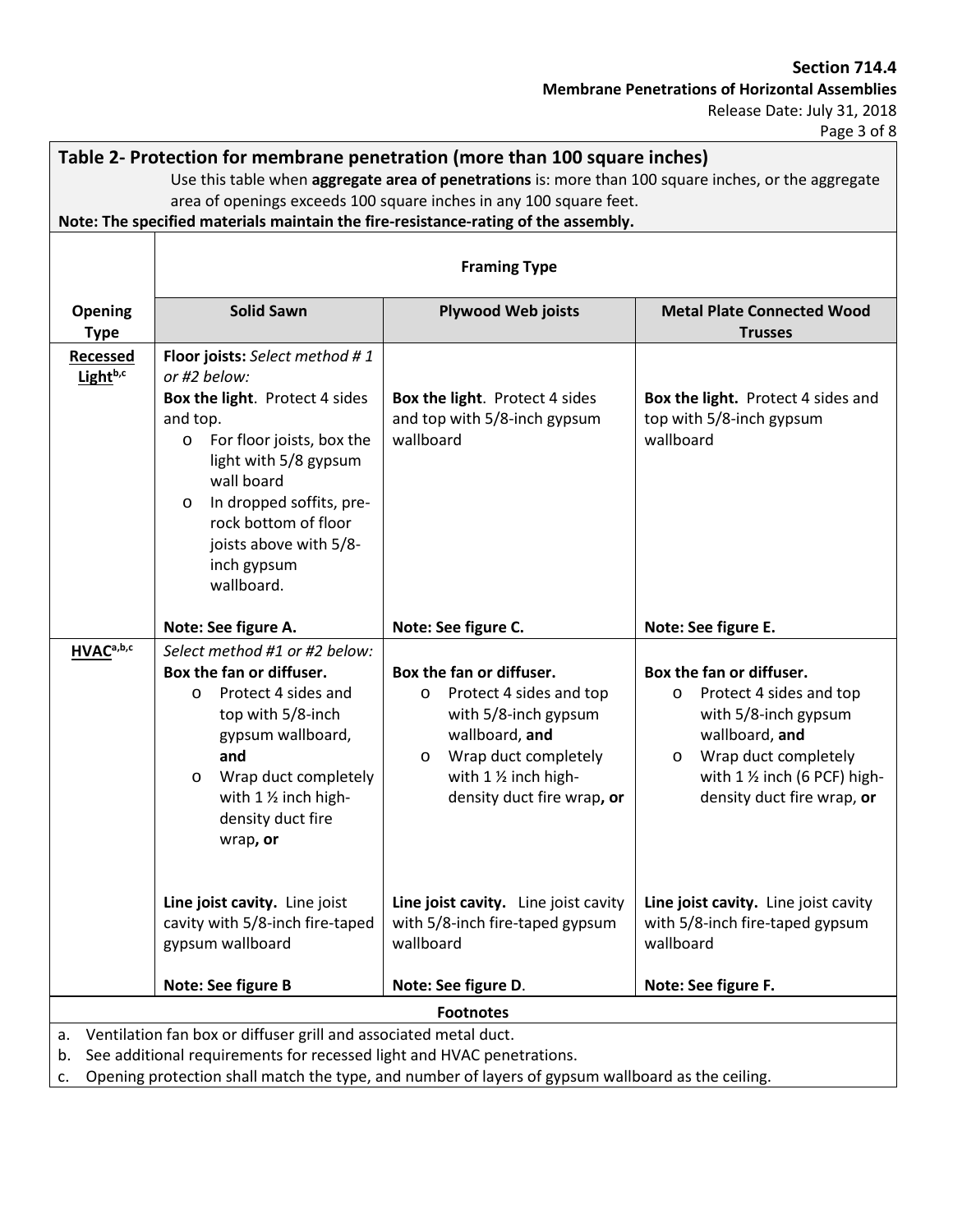# **Section 714.4**

**Membrane Penetrations of Horizontal Assemblies**

Release Date: July 31, 2018

Page 3 of 8

| Table 2- Protection for membrane penetration (more than 100 square inches)                                                                               |                                                                                                                                                                                                                                                                                                   |                                                                                                                                                                                        |                                                                                                                                                                                                                      |  |  |
|----------------------------------------------------------------------------------------------------------------------------------------------------------|---------------------------------------------------------------------------------------------------------------------------------------------------------------------------------------------------------------------------------------------------------------------------------------------------|----------------------------------------------------------------------------------------------------------------------------------------------------------------------------------------|----------------------------------------------------------------------------------------------------------------------------------------------------------------------------------------------------------------------|--|--|
| Use this table when aggregate area of penetrations is: more than 100 square inches, or the aggregate                                                     |                                                                                                                                                                                                                                                                                                   |                                                                                                                                                                                        |                                                                                                                                                                                                                      |  |  |
| area of openings exceeds 100 square inches in any 100 square feet.<br>Note: The specified materials maintain the fire-resistance-rating of the assembly. |                                                                                                                                                                                                                                                                                                   |                                                                                                                                                                                        |                                                                                                                                                                                                                      |  |  |
|                                                                                                                                                          |                                                                                                                                                                                                                                                                                                   |                                                                                                                                                                                        |                                                                                                                                                                                                                      |  |  |
|                                                                                                                                                          | <b>Framing Type</b>                                                                                                                                                                                                                                                                               |                                                                                                                                                                                        |                                                                                                                                                                                                                      |  |  |
| <b>Opening</b><br><b>Type</b>                                                                                                                            | <b>Solid Sawn</b>                                                                                                                                                                                                                                                                                 | <b>Plywood Web joists</b>                                                                                                                                                              | <b>Metal Plate Connected Wood</b><br><b>Trusses</b>                                                                                                                                                                  |  |  |
| <b>Recessed</b><br>Light <sup>b,c</sup>                                                                                                                  | Floor joists: Select method #1<br>or #2 below:<br>Box the light. Protect 4 sides<br>and top.<br>For floor joists, box the<br>$\circ$<br>light with 5/8 gypsum<br>wall board<br>In dropped soffits, pre-<br>$\circ$<br>rock bottom of floor<br>joists above with 5/8-<br>inch gypsum<br>wallboard. | Box the light. Protect 4 sides<br>and top with 5/8-inch gypsum<br>wallboard                                                                                                            | Box the light. Protect 4 sides and<br>top with 5/8-inch gypsum<br>wallboard                                                                                                                                          |  |  |
|                                                                                                                                                          | Note: See figure A.                                                                                                                                                                                                                                                                               | Note: See figure C.                                                                                                                                                                    | Note: See figure E.                                                                                                                                                                                                  |  |  |
| HVACa,b,c                                                                                                                                                | Select method #1 or #2 below:<br>Box the fan or diffuser.<br>Protect 4 sides and<br>O<br>top with 5/8-inch<br>gypsum wallboard,<br>and<br>Wrap duct completely<br>$\circ$<br>with 1 1/2 inch high-<br>density duct fire<br>wrap, or                                                               | Box the fan or diffuser.<br>Protect 4 sides and top<br>O<br>with 5/8-inch gypsum<br>wallboard, and<br>Wrap duct completely<br>O<br>with 1 1/2 inch high-<br>density duct fire wrap, or | Box the fan or diffuser.<br>Protect 4 sides and top<br>$\circ$<br>with 5/8-inch gypsum<br>wallboard, and<br>Wrap duct completely<br>$\circ$<br>with $1 \frac{1}{2}$ inch (6 PCF) high-<br>density duct fire wrap, or |  |  |
|                                                                                                                                                          | Line joist cavity. Line joist<br>cavity with 5/8-inch fire-taped<br>gypsum wallboard                                                                                                                                                                                                              | Line joist cavity. Line joist cavity<br>with 5/8-inch fire-taped gypsum<br>wallboard                                                                                                   | Line joist cavity. Line joist cavity<br>with 5/8-inch fire-taped gypsum<br>wallboard                                                                                                                                 |  |  |
|                                                                                                                                                          | Note: See figure B                                                                                                                                                                                                                                                                                | Note: See figure D.                                                                                                                                                                    | Note: See figure F.                                                                                                                                                                                                  |  |  |
| <b>Footnotes</b>                                                                                                                                         |                                                                                                                                                                                                                                                                                                   |                                                                                                                                                                                        |                                                                                                                                                                                                                      |  |  |
| Ventilation fan box or diffuser grill and associated metal duct.<br>a.<br>See additional requirements for recessed light and HVAC penetrations.<br>b.    |                                                                                                                                                                                                                                                                                                   |                                                                                                                                                                                        |                                                                                                                                                                                                                      |  |  |

c. Opening protection shall match the type, and number of layers of gypsum wallboard as the ceiling.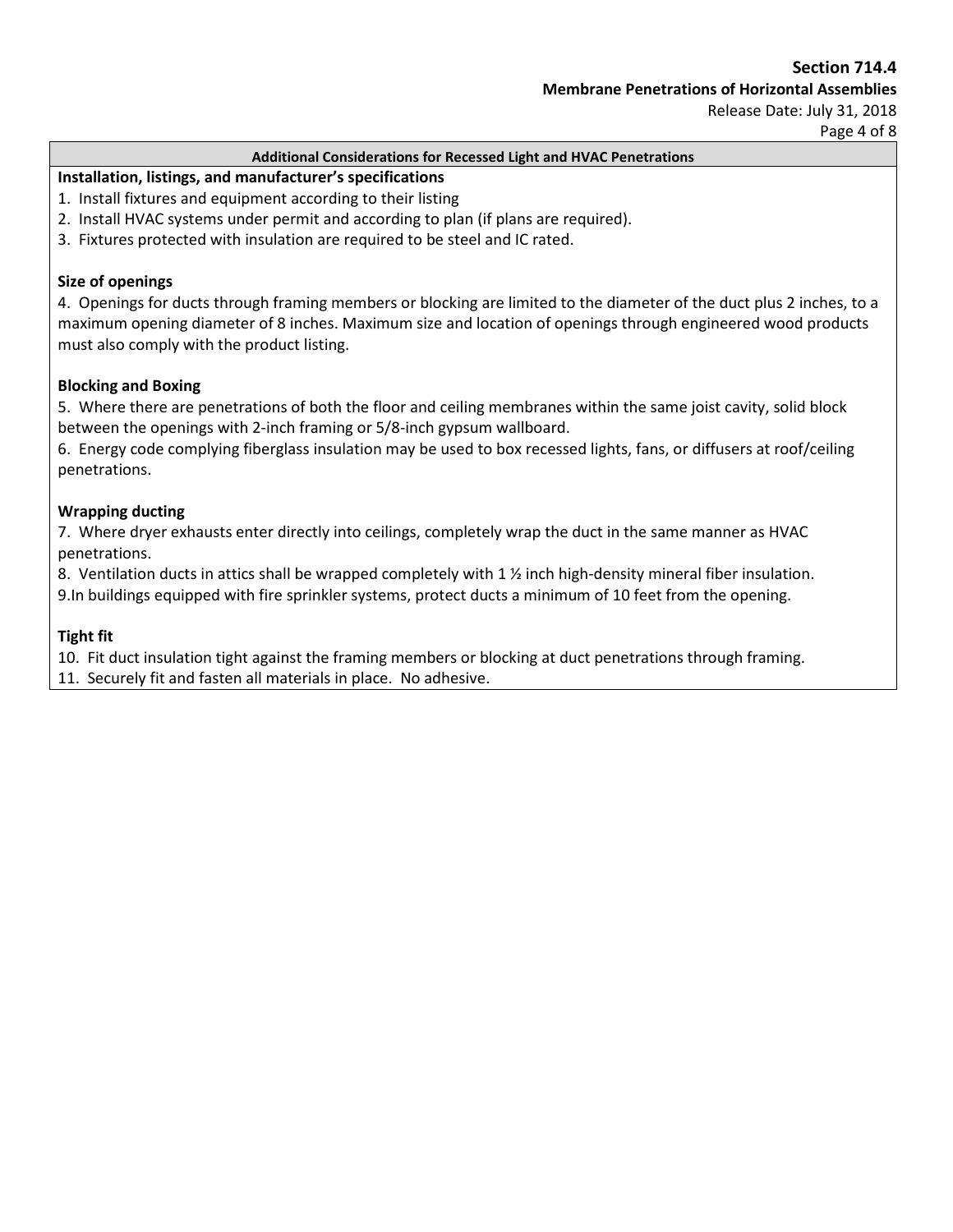Page 4 of 8

#### **Additional Considerations for Recessed Light and HVAC Penetrations**

#### **Installation, listings, and manufacturer's specifications**

- 1. Install fixtures and equipment according to their listing
- 2. Install HVAC systems under permit and according to plan (if plans are required).
- 3. Fixtures protected with insulation are required to be steel and IC rated.

#### **Size of openings**

4. Openings for ducts through framing members or blocking are limited to the diameter of the duct plus 2 inches, to a maximum opening diameter of 8 inches. Maximum size and location of openings through engineered wood products must also comply with the product listing.

#### **Blocking and Boxing**

5. Where there are penetrations of both the floor and ceiling membranes within the same joist cavity, solid block between the openings with 2-inch framing or 5/8-inch gypsum wallboard.

6. Energy code complying fiberglass insulation may be used to box recessed lights, fans, or diffusers at roof/ceiling penetrations.

#### **Wrapping ducting**

7. Where dryer exhausts enter directly into ceilings, completely wrap the duct in the same manner as HVAC penetrations.

8. Ventilation ducts in attics shall be wrapped completely with 1  $\frac{1}{2}$  inch high-density mineral fiber insulation. 9.In buildings equipped with fire sprinkler systems, protect ducts a minimum of 10 feet from the opening.

#### **Tight fit**

10. Fit duct insulation tight against the framing members or blocking at duct penetrations through framing. 11. Securely fit and fasten all materials in place. No adhesive.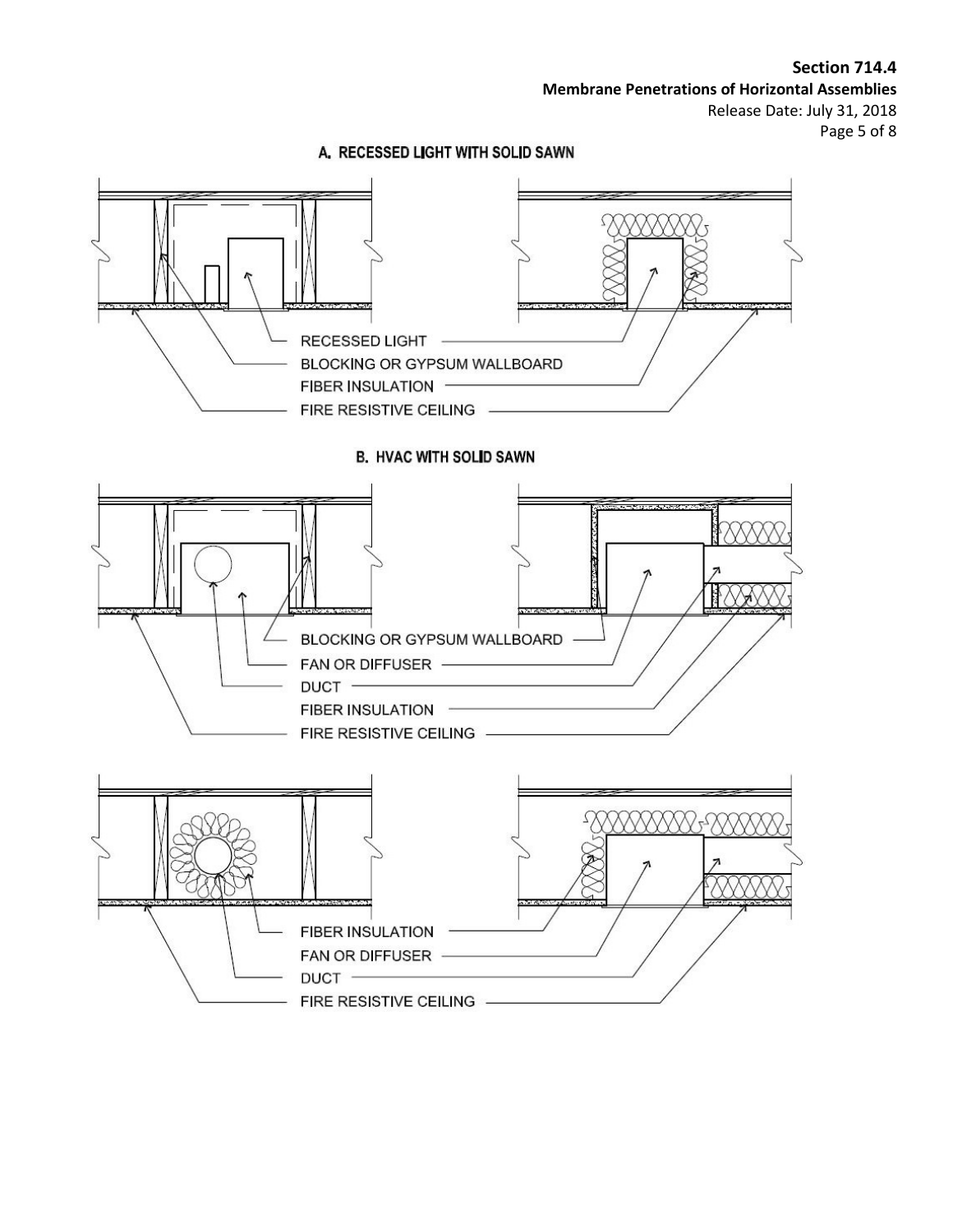**Section 714.4 Membrane Penetrations of Horizontal Assemblies** Release Date: July 31, 2018 Page 5 of 8

### A. RECESSED LIGHT WITH SOLID SAWN

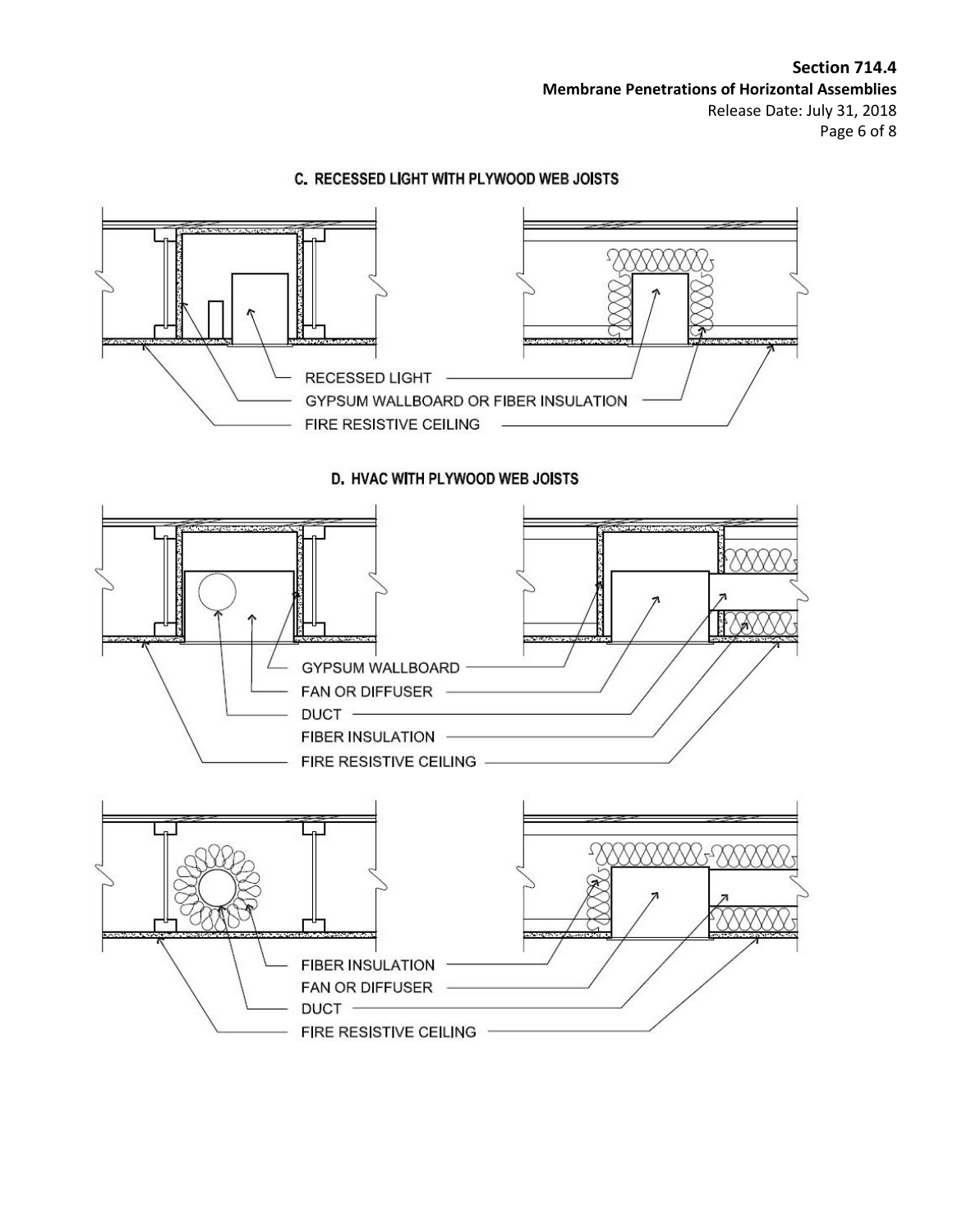

# C. RECESSED LIGHT WITH PLYWOOD WEB JOISTS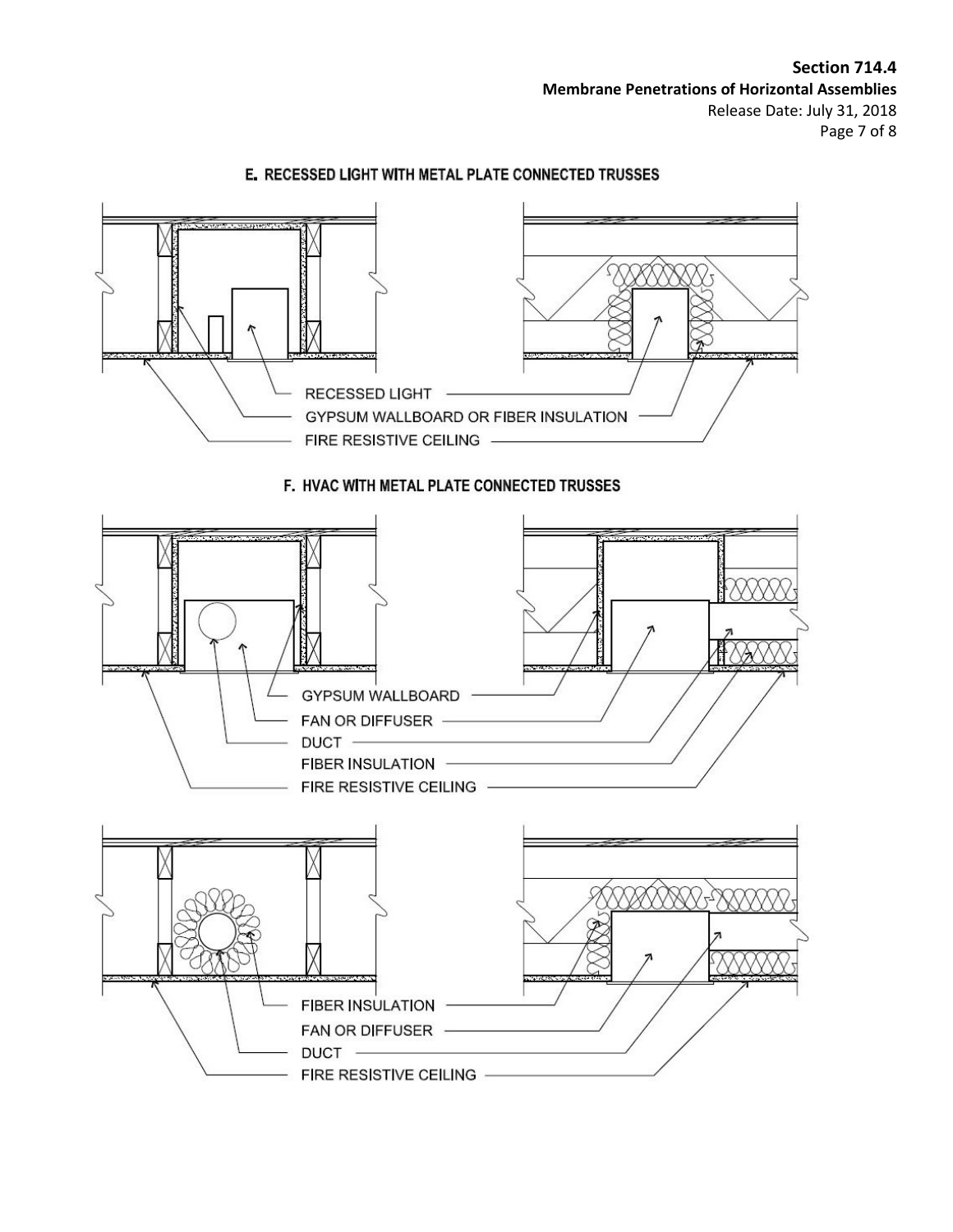

# E. RECESSED LIGHT WITH METAL PLATE CONNECTED TRUSSES